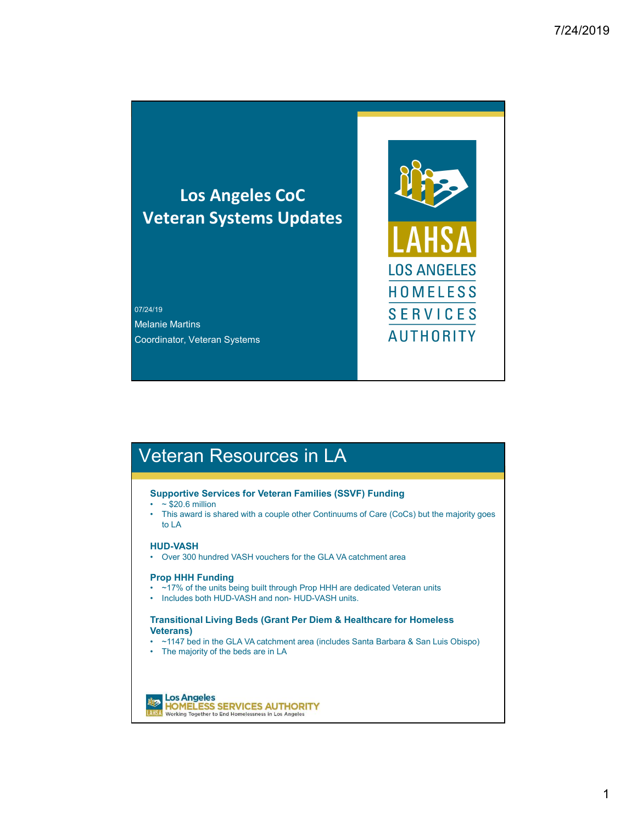## Los Angeles CoC Veteran Systems Updates

07/24/19 Melanie Martins Coordinator, Veteran Systems New York New York 1980 New York New York New York New York New York New York New York New York New York New York New York New York New York New York New York New York New York New York New York

# Veteran Resources in LA

## Supportive Services for Veteran Families (SSVF) Funding<br>•  $\sim$  \$20.6 million

- 
- LOS ANGELES<br>
 +10<br>
 +10 MELESS<br>
 5 ERVICES<br>
 AUTHORITY<br>
 Ceteran Resources in LA<br>
 Spoportive Services for Veteran Families (SSVF) Funding<br>
 − \$20.6 million<br>
 − \$20.6 million<br>
 − \$20.6 million<br>
 − \$20.6 million<br> FRITOR<br>
FRIES<br>
HOMELES<br>
HOMELES<br>
SERVICES<br>
SERVICES<br>
CONTENT PRISONAL Systems<br>
CONTENT PRISONAL Systems<br>
CONTENT PRISONAL Systems<br>
This award is shared with a couple other Continuums of Care (CoCs) but the majority goes<br>
T to LA <sup>479</sup><br>
• Over 300 hundred VASH vouchers for the GLA VA catchment area<br> **CEETAIN RESOUITGES IN LA**<br>
• P30.6 million<br>
• This award is shared with a couple other Continuums of Care (CoCs) but the majority goes<br>
• T30.6 millio entie Martins<br>
• **AUTHORITY**<br>
• **AUTHORITY**<br>
• S20.6 million<br>
• \* - 520.6 million<br>
• \* - 520.6 million<br>
• \* - 520.6 million<br>
• \* - 520.6 million<br>
• \* - 520.6 million<br>
• ULA<br>
• ULA<br>
• OVE 300 hundred VASH vouchers for the **Eteran Resources in LA<br>
Supportive Services for Veteran Famillies (SSVF) Funding<br>
Supportive Services for Veteran Famillies (SSVF) Funding<br>
• Tazo 6 million<br>
• Tazo 6 million<br>
• Taxo 6 million<br>
• Taxo 6 million<br>
• David S Eterrann Resources in LA<br>
Supportive Services for Veteran Families (SSVF) Funding<br>
• ~\$20.6 million<br>
• Dis award is shared with a couple other Continuums of Care (CoCs) but the majority goes<br>
• NDD-VASH<br>
• Over 300 hundre CECTAIN RESOUTCES IN LA<br>
Supportive Services for Veteran Families (SSVF) Funding<br>
• S20.6 million<br>
• This award is shared with a couple other Continuums of Care (CoCs) but the majority goes<br>
• Over 300 hundred VASH vouche**

**HUD-VASH**<br>• Over 300 hundred VASH vouchers for the GLA VA catchment area

## Prop HHH Funding

- 
- 

## Transitional Living Beds (Grant Per Diem & Healthcare for Homeless Veterans)<br>• ~1147 bed in the GLA VA catchment area (includes Santa Barbara & San Luis Obispo)

- 
-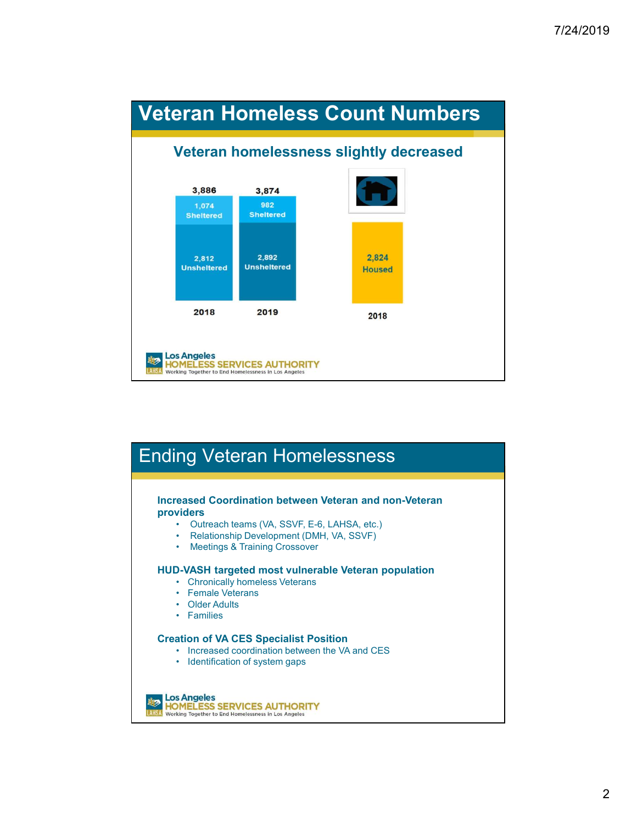

# Ending Veteran Homelessness

# Increased Coordination between Veteran and non-Veteran providers **From Control Control CESTICES**<br>
• Increased Coordination between Veteran and non-Veteran<br>
• Culteach learns (VA, SSVF, E-6, LAHSA, etc.)<br>
• Realings & Training Crossover<br>
• Realings & Training Crossover<br>
• Chronically hom **ing Veteran Homelessness**<br> **Example Condition of Stress (VA, SSVF, E-6, LAHSA, etc.)**<br>
• Outreach teams (VA, SSVF, E-6, LAHSA, etc.)<br>
• Relationship Development (DMH, VA, SSVF)<br>
• Meetings & Training Crossover<br>
• Chronica

- 
- 
- 

## HUD-VASH targeted most vulnerable Veteran population

- 
- 
- 
- 

## Creation of VA CES Specialist Position

- 
- 

此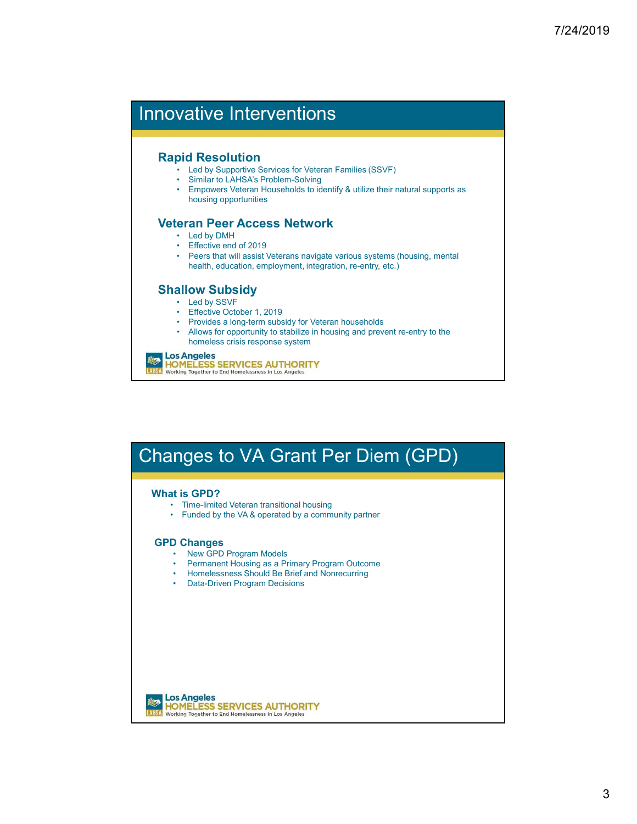# Innovative Interventions

- **Rapid Resolution**<br>**•** Led by Supportive Services for Veteran Families (SSVF)
	-
- **Vative Interventions<br>• Led by Supportive Services for Veteran Families (SSVF)<br>• Similar to LAHSA's Problem-Solving<br>• Empowers Veteran Households to identify & utilize their natural supports as<br><b>eran Peer Access Network**<br>• Vative Interventions<br>
• Led by Supportive Services for Veteran Families (SSVF)<br>
• Similar to LAHSA's Problem-Solving<br>
• Empowers Veteran Households to identify & utilize their natural supports as<br> **eran Peer Access Network Vative Interventions<br>• Led by Supportive Services for Veteran Families (SSVF)<br>• Similar to LAHSA's Problem-Solving<br>• Empowers Veteran Households to identify & utilize their natural supports as<br>• Dear <b>Peer Access Network** housing opportunities Vative Interventions<br>
• Led by Supportive Services for Veteran Families (SSVF)<br>
• Similar to LAHSAs Problem-Solving<br>
• Empowers Veteran Households to identify & utilize their natural supports as<br>
housing opportunities<br>
• L Valive Interventions<br>
Vid Resolution<br>
• Led by Supportive Services for Veteran Families (SSVF)<br>
• Similar to LAHSA's Problem-Solving<br>
• Empowers Veteran Households to identify & utilize their natural supports as<br>
• brows a • Peers that will assist Veterans for Veteran Families (SSVF)<br>• Similar to LAHSA's Problem-Solving<br>• Simplex to the Maximum School of the Unity & utilize their natural supports as<br>• Empowers teleran Households to identify Vative Interventions<br>
vid Resolution<br>
• Led by Supportive Services for Veteran Families (SSVF)<br>
• Similar to LAFAS Problem-Solonig<br>
• Empowers Veteran Households to identify & utilize their natural supports as<br>
• Led by DM Valive Interventions<br>
id Resolution<br>
• Led by Supportive Services for Veteran Families (SSVF)<br>
• Similar to LAHSAS Problem-Solving<br>
• Empowers veteran Frosenotols to identify & utilize their natural supports as<br>
• Effectiv • Provides a long-term of the Magnetian Capacity<br>• Card by Supportive Services for Veteran Families (SSVF)<br>• Similar to LAHSA's Problem-Solving<br>• Empowers Veteran Households to identify & utilize their natural supports as **Vative Interventions**<br>
• Led by Supportive Services for Veteran Families (SSVF)<br>
• Similar to LAHSA's Problem-Solving<br>
• Empowers Veteran Households to identify & utilize their natural supports as<br>
• Led by DMH<br>
• Led by

# Veteran Peer Access Network<br>Led by DMH

- 
- 
- health, education, employment, integration, re-entry, etc.) • Led by DMH<br>
• Effective end of 2019<br>
• Peers that will assist Veterans navigate various systems (housing, mental<br>
• Mealure Context (2019)<br>
• Led by SSVF<br>
• Effective October 1, 2019<br>
• Provides a long-term subsidy for V • Effective end of 2019<br>
• Peers that will assist Veterans navigate various systems (housing, mental<br>
• Peers that will assist Veterans navigate various, re-entry, etc.)<br>
• Led by SSVF<br>
• Effective October 1, 2019<br>
• Funde

## Shallow Subsidy

- 
- 
- 
- homeless crisis response system

## 此天

# Changes to VA Grant Per Diem (GPD) **• Led by SSVF**<br>• Friedrice October 1, 2019<br>• Frondes a long-term subsidy for Veteran households<br>• Provides a long-term subsidy for Veteran households<br>• Millions of the propertunity to stabilize in housing and prevent re-e File-tive October 1, 2019<br>• Erfective Cocher 1, 2019<br>• Provides a long-term subsidy for Veteran households<br>• Mollows for opportunity to stabilize in housing and prevent re-entry to the<br>homeless crisis response system<br>**Prop** • Homeless clange them subsidy for Veteran households<br>• Provides a long-term subsidy for Veteran households<br>• Allows for opportunity to stabilize in housing and prevent re-entry to the<br>**brief and String Be Branchess** strin • Encority Cother 1, 2019<br>• Provides a long-term subsidy for Veteran households<br>• Allows for opportunity to stabilize in housing and prevent re-entry to the<br>bomeless crisis response system<br>**DATELESS SERVICES AUTHORITY**<br>And

## What is GPD?

- 
- 

- **GPD Changes**<br>• New GPD Program Models
	-
	-
	-